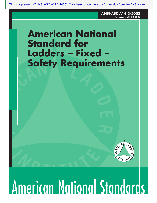### **ANSI-ASC A14.3-2008 Revision of A14.3-2002**

# **American National Standard for Ladders – Fixed – Safety Requirements**



# American National Standards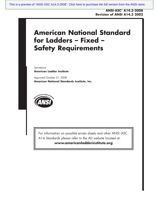**ANSI-ASC**® **A14.3-2008 Revision of ANSI A14.3 2002**

# **American National Standard for Ladders – Fixed – Safety Requirements**

**Secretariat American Ladder Institute** 

Approved October 31, 2008 **American National Standards Institute, Inc.**



For information on possible errata sheets and other ANSI -ASC A14 Standards please refer to the ALI website located at:

**www.americanladderinstitute.org**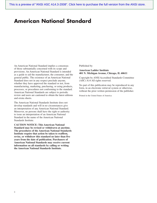# **American National Standard**

An American National Standard implies a consensus of those substantially concerned with its scope and provisions. An American National Standard is intended as a guide to aid the manufacturer, the consumer, and the general public. The existence of an American National Standard does not in any respect preclude anyone, whether they have approved the standard or not, from manufacturing, marketing, purchasing, or using products, processes, or procedures not conforming to the standard. American National Standards are subject to periodic review and users are cautioned to obtain the latest editions and errata sheets.

The American National Standards Institute does not develop standards and will in no circumstances give an interpretation of any American National Standard. Moreover, no persons shall have the right or authority to issue an interpretation of an American National Standard in the name of the American National Standards Institute.

**CAUTION NOTICE: This American National Standard may be revised or withdrawn at anytime. The procedures of the American National Standards Institute require that action be taken to reaffirm, revise, or withdraw this standard no later than five years from the date of publication. Purchasers of American National Standards may receive current information on all standards by calling or writing the American National Standards Institute.**

#### Published by

#### **American Ladder Institute 401 N. Michigan Avenue, Chicago, IL 60611**

Copyright by ANSI Accredited Standards Committee (ASC) A14 All rights reserved.

No part of this publication may be reproduced in any form, in an electronic retrieval system or otherwise, without the prior written permission of the publisher.

Printed in the United States of America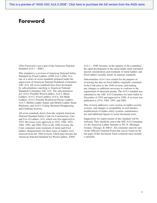# **Foreword**

(This Foreword is not a part of the American National Standard A14.3 – 2008.)

This standard is a revision of American National Safety Standard for Fixed Ladders, ANSI A14.3-2002. It is one of a series of seven standards prepared under the supervision of American National Standards Committee ASC A14. All seven standards have been developed by subcommittees reporting to American National Standards Committee ASC A14. The subcommittees are: A14.l, Portable Wood Ladders; A14.2, Metal Ladders; A14.3, Fixed Ladders; A14.4, Job-Made Ladders, A14.5, Portable Reinforced Plastic Ladders, A14.7, Mobile Ladder Stands and Mobile Ladder Stand Platforms, and A14.9, Ceiling Mounted Disappearing and Climbing Systems.

All seven standards derive from the original American National Standard Safety Code for Construction, Care and Use of Ladders, A14, which was first approved in 1923. Revisions were approved in 1935, 1948, 1952, 1984, 1992, and 2002. Prior to the 1948 revision, the Code contained some treatment of metal and fixed ladders. Requirements for these types of ladders were removed from the 1948 revision, which then became the American National Standard for Wood Ladders, ANSI

A14.1 – 1948, because, in the opinion of the committee, the rapid development in the metal ladder field warranted special consideration and treatment of metal ladders and fixed ladders (usually metal) in separate standards.

Subcommittee A14.3 was created for the purpose of reviewing the data on fixed ladders originally contained in the Code prior to the 1948 revision, and making any changes or additions necessary to conform to the requirement of interested groups. The A14.3 standard was submitted to the ASC A14 Committee for letter ballot in December of 1955 and approved in 1956. A revision was published in 1974, 1984, 1992, and 2002.

This revision addresses a new section on ladder security systems, and changes to graspability in roof hatches, modifications of ladder safety systems, maintenance, use and additional figures to assist document users.

Suggestions for improvement of this standard will be welcome. They should be sent to the ASC A14 Committee c/o the American Ladder Institute at 401 N. Michigan Avenue, Chicago, IL 60611. All comments must be sent on the Official Comment Form that can be found on the last page of this document. Each comment must include a rationale.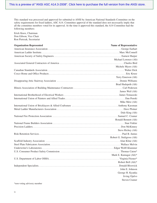This standard was processed and approved for submittal to ANSI by American National Standards Committee on the safety requirements for fixed ladders, ASC A14. Committee approval of the standard does not necessarily imply that all the committee members voted for its approval. At the time it approved this standard, the A14 Committee had the following members:

Erick Knox, Chairman Don Gibson, Vice Chair Ron Pietrzak, Secretariat

| <b>Organization Represented</b> | <b>Name of Representative</b> |
|---------------------------------|-------------------------------|
|                                 |                               |
|                                 |                               |
|                                 |                               |
|                                 | Michael Lorenzo (Alt)         |
|                                 |                               |
|                                 | Michele Myers (Alt)           |
|                                 |                               |
|                                 |                               |
|                                 | Terry Emerson (Alt)           |
|                                 |                               |
|                                 | Brad Hudspeth (Alt)           |
|                                 |                               |
|                                 | James Weil (Alt)              |
|                                 |                               |
|                                 |                               |
|                                 | Mike Metz (Alt)               |
|                                 |                               |
|                                 |                               |
|                                 | Dale King (Alt)               |
|                                 |                               |
|                                 | Ronald Bennett (Alt)          |
|                                 |                               |
|                                 |                               |
|                                 | Steve Richey (Alt)            |
|                                 |                               |
|                                 | Robert G. Stuligross (Alt)    |
|                                 |                               |
|                                 |                               |
|                                 |                               |
|                                 |                               |
|                                 | Mark E. Kumagai (Alt)*        |
|                                 |                               |
|                                 | Robert Bell (Alt)*            |
|                                 |                               |
|                                 | John E. Johnson               |
|                                 | George H. Kyanka              |
|                                 | Irving Ojalvo                 |
|                                 | <b>Steven Cramer</b>          |

\*non-voting advisory member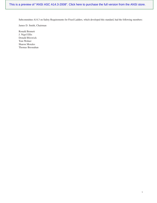Subcommittee A14.3 on Safety Requirements for Fixed Ladders, which developed this standard, had the following members:

James D. Smith, Chairman

Ronald Bennett J. Nigel Ellis Donald Bloswick Tom Wolner Sharon Morales Thomas Bresnahan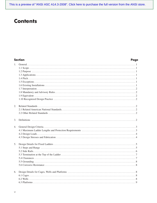# **Contents**

# **Section Page**  $1.$  $\mathcal{L}$  $\mathbf{\Delta}$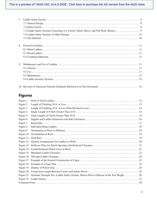| 7 |  |
|---|--|
|   |  |
|   |  |
|   |  |
|   |  |
|   |  |
| 8 |  |
|   |  |
|   |  |
|   |  |
| 9 |  |
|   |  |
|   |  |
|   |  |
|   |  |
|   |  |

# **Figures**

| Figure 1  |                                                                                            |  |
|-----------|--------------------------------------------------------------------------------------------|--|
| Figure 2  |                                                                                            |  |
| Figure 3  |                                                                                            |  |
| Figure 4  |                                                                                            |  |
| Figure 5  |                                                                                            |  |
| Figure 6  |                                                                                            |  |
| Figure 7  |                                                                                            |  |
| Figure 8  |                                                                                            |  |
| Figure 9  |                                                                                            |  |
| Figure 10 |                                                                                            |  |
| Figure 11 |                                                                                            |  |
| Figure 12 |                                                                                            |  |
| Figure 13 |                                                                                            |  |
| Figure 14 |                                                                                            |  |
| Figure 15 |                                                                                            |  |
| Figure 16 |                                                                                            |  |
| Figure 17 |                                                                                            |  |
| Figure 18 |                                                                                            |  |
| Figure 19 |                                                                                            |  |
| Figure 20 |                                                                                            |  |
| Figure 21 | Dynamic Strength Test, Ladder Safety System, Shown Prior to Release of the Test Weight  26 |  |
|           |                                                                                            |  |
|           |                                                                                            |  |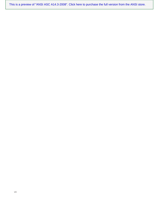[This is a preview of "ANSI ASC A14.3-2008". Click here to purchase the full version from the ANSI store.](https://webstore.ansi.org/Standards/ALI/ANSIASCA142008?source=preview)